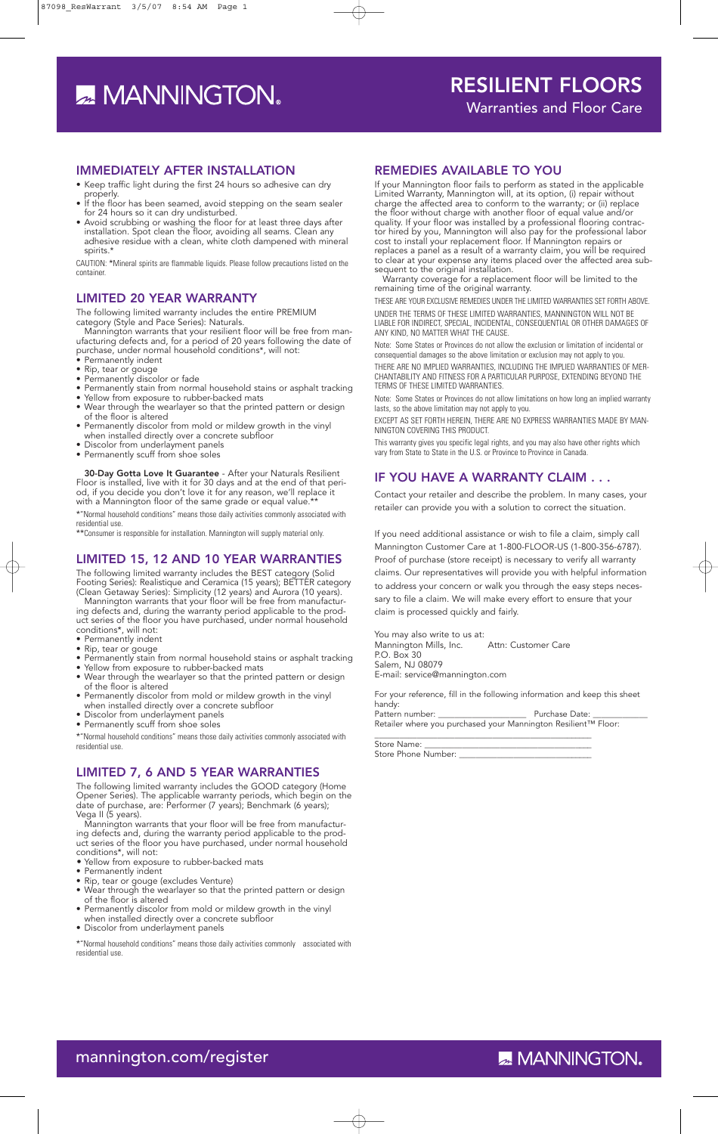### IMMEDIATELY AFTER INSTALLATION

- Keep traffic light during the first 24 hours so adhesive can dry properly.
- If the floor has been seamed, avoid stepping on the seam sealer for 24 hours so it can dry undisturbed.
- Avoid scrubbing or washing the floor for at least three days after installation. Spot clean the floor, avoiding all seams. Clean any adhesive residue with a clean, white cloth dampened with mineral spirits.<sup>\*</sup>

CAUTION: \*Mineral spirits are flammable liquids. Please follow precautions listed on the container.

### LIMITED 20 YEAR WARRANTY

The following limited warranty includes the entire PREMIUM category (Style and Pace Series): Naturals.

Mannington warrants that your resilient floor will be free from manufacturing defects and, for a period of 20 years following the date of purchase, under normal household conditions\*, will not:<br>• Permanently indent

- Permanently indent
- Rip, tear or gouge • Permanently discolor or fade
- Permanently stain from normal household stains or asphalt tracking
- Yellow from exposure to rubber-backed mats
- Wear through the wearlayer so that the printed pattern or design of the floor is altered
- Permanently discolor from mold or mildew growth in the vinyl when installed directly over a concrete subfloor
- Discolor from underlayment panels
- Permanently scuff from shoe soles

30-Day Gotta Love It Guarantee - After your Naturals Resilient Floor is installed, live with it for 30 days and at the end of that period, if you decide you don't love it for any reason, we'll replace it with a Mannington floor of the same grade or equal value.\*\*

\*"Normal household conditions" means those daily activities commonly associated with residential use.

\*\*Consumer is responsible for installation. Mannington will supply material only.

# LIMITED 15, 12 AND 10 YEAR WARRANTIES

The following limited warranty includes the BEST category (Solid Footing Series): Realistique and Ceramica (15 years); BETTER category (Clean Getaway Series): Simplicity (12 years) and Aurora (10 years).

Mannington warrants that your floor will be free from manufacturing defects and, during the warranty period applicable to the product series of the floor you have purchased, under normal household conditions\*, will not:

- Permanently indent
- Rip, tear or gouge
- Permanently stain from normal household stains or asphalt tracking
- Yellow from exposure to rubber-backed mats • Wear through the wearlayer so that the printed pattern or design
- of the floor is altered • Permanently discolor from mold or mildew growth in the vinyl
- when installed directly over a concrete subfloor Discolor from underlayment panels
- Permanently scuff from shoe soles

\*"Normal household conditions" means those daily activities commonly associated with residential use.

#### LIMITED 7, 6 AND 5 YEAR WARRANTIES

The following limited warranty includes the GOOD category (Home Opener Series). The applicable warranty periods, which begin on the date of purchase, are: Performer (7 years); Benchmark (6 years); Vega II (5 years).

Mannington warrants that your floor will be free from manufacturing defects and, during the warranty period applicable to the product series of the floor you have purchased, under normal household conditions\*, will not:

- Yellow from exposure to rubber-backed mats
- Permanently indent
- Rip, tear or gouge (excludes Venture)
- Wear through the wearlayer so that the printed pattern or design of the floor is altered
- Permanently discolor from mold or mildew growth in the vinyl
- when installed directly over a concrete subfloor
- Discolor from underlayment panels

\*"Normal household conditions" means those daily activities commonly associated with residential use.

## REMEDIES AVAILABLE TO YOU

If your Mannington floor fails to perform as stated in the applicable Limited Warranty, Mannington will, at its option, (i) repair without charge the affected area to conform to the warranty; or (ii) replace the floor without charge with another floor of equal value and/or quality. If your floor was installed by a professional flooring contractor hired by you, Mannington will also pay for the professional labor cost to install your replacement floor. If Mannington repairs or replaces a panel as a result of a warranty claim, you will be required to clear at your expense any items placed over the affected area subsequent to the original installation.

Warranty coverage for a replacement floor will be limited to the remaining time of the original warranty.

THESE ARE YOUR EXCLUSIVE REMEDIES UNDER THE LIMITED WARRANTIES SET FORTH ABOVE. UNDER THE TERMS OF THESE LIMITED WARRANTIES, MANNINGTON WILL NOT BE LIABLE FOR INDIRECT, SPECIAL, INCIDENTAL, CONSEQUENTIAL OR OTHER DAMAGES OF ANY KIND, NO MATTER WHAT THE CAUSE.

Note: Some States or Provinces do not allow the exclusion or limitation of incidental or consequential damages so the above limitation or exclusion may not apply to you.

THERE ARE NO IMPLIED WARRANTIES, INCLUDING THE IMPLIED WARRANTIES OF MER-CHANTABILITY AND FITNESS FOR A PARTICULAR PURPOSE, EXTENDING BEYOND THE TERMS OF THESE LIMITED WARRANTIES.

Note: Some States or Provinces do not allow limitations on how long an implied warranty lasts, so the above limitation may not apply to you.

EXCEPT AS SET FORTH HEREIN, THERE ARE NO EXPRESS WARRANTIES MADE BY MAN-NINGTON COVERING THIS PRODUCT.

This warranty gives you specific legal rights, and you may also have other rights which vary from State to State in the U.S. or Province to Province in Canada.

# IF YOU HAVE A WARRANTY CLAIM . . .

Contact your retailer and describe the problem. In many cases, your retailer can provide you with a solution to correct the situation.

If you need additional assistance or wish to file a claim, simply call Mannington Customer Care at 1-800-FLOOR-US (1-800-356-6787). Proof of purchase (store receipt) is necessary to verify all warranty claims. Our representatives will provide you with helpful information to address your concern or walk you through the easy steps necessary to file a claim. We will make every effort to ensure that your claim is processed quickly and fairly.

You may also write to us at: Mannington Mills, Inc. Attn: Customer Care P.O. Box 30 Salem, NJ 08079 E-mail: service@mannington.com

For your reference, fill in the following information and keep this sheet handy:

Pattern number: \_\_\_\_\_\_\_\_\_\_\_\_\_\_\_\_\_\_\_\_\_ Purchase Date: \_\_\_\_\_\_\_\_\_\_\_\_\_ Retailer where you purchased your Mannington Resilient™ Floor:

 $\overline{\phantom{a}}$  , and the contract of the contract of the contract of the contract of the contract of the contract of the contract of the contract of the contract of the contract of the contract of the contract of the contrac

Store Name: Store Phone Number: